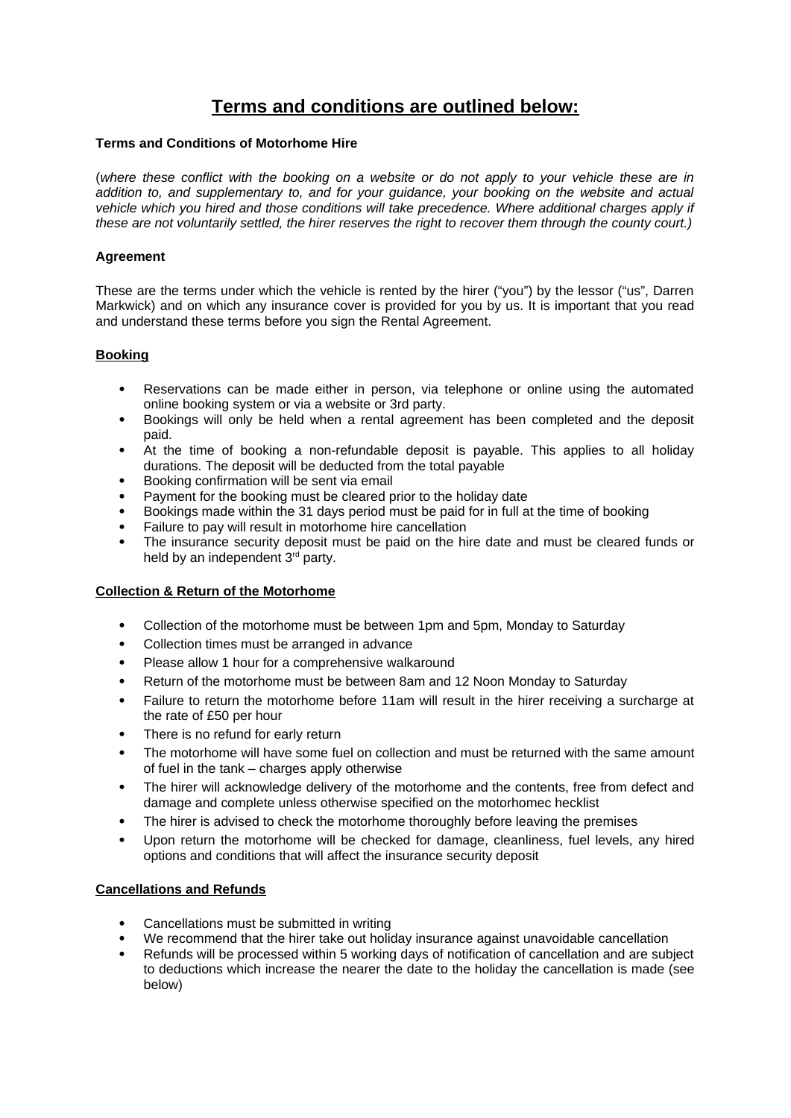# **Terms and conditions are outlined below:**

# **Terms and Conditions of Motorhome Hire**

(*where these conflict with the booking on a website or do not apply to your vehicle these are in addition to, and supplementary to, and for your guidance, your booking on the website and actual vehicle which you hired and those conditions will take precedence. Where additional charges apply if these are not voluntarily settled, the hirer reserves the right to recover them through the county court.)*

# **Agreement**

These are the terms under which the vehicle is rented by the hirer ("you") by the lessor ("us", Darren Markwick) and on which any insurance cover is provided for you by us. It is important that you read and understand these terms before you sign the Rental Agreement.

# **Booking**

- Reservations can be made either in person, via telephone or online using the automated online booking system or via a website or 3rd party.
- Bookings will only be held when a rental agreement has been completed and the deposit paid.
- At the time of booking a non-refundable deposit is payable. This applies to all holiday durations. The deposit will be deducted from the total payable
- Booking confirmation will be sent via email
- Payment for the booking must be cleared prior to the holiday date
- Bookings made within the 31 days period must be paid for in full at the time of booking
- Failure to pay will result in motorhome hire cancellation
- The insurance security deposit must be paid on the hire date and must be cleared funds or held by an independent 3<sup>rd</sup> party.

# **Collection & Return of the Motorhome**

- Collection of the motorhome must be between 1pm and 5pm, Monday to Saturday
- Collection times must be arranged in advance
- Please allow 1 hour for a comprehensive walkaround
- Return of the motorhome must be between 8am and 12 Noon Monday to Saturday
- Failure to return the motorhome before 11am will result in the hirer receiving a surcharge at the rate of £50 per hour
- There is no refund for early return
- The motorhome will have some fuel on collection and must be returned with the same amount of fuel in the tank – charges apply otherwise
- The hirer will acknowledge delivery of the motorhome and the contents, free from defect and damage and complete unless otherwise specified on the motorhomec hecklist
- The hirer is advised to check the motorhome thoroughly before leaving the premises
- Upon return the motorhome will be checked for damage, cleanliness, fuel levels, any hired options and conditions that will affect the insurance security deposit

#### **Cancellations and Refunds**

- Cancellations must be submitted in writing
- We recommend that the hirer take out holiday insurance against unavoidable cancellation
- Refunds will be processed within 5 working days of notification of cancellation and are subject to deductions which increase the nearer the date to the holiday the cancellation is made (see below)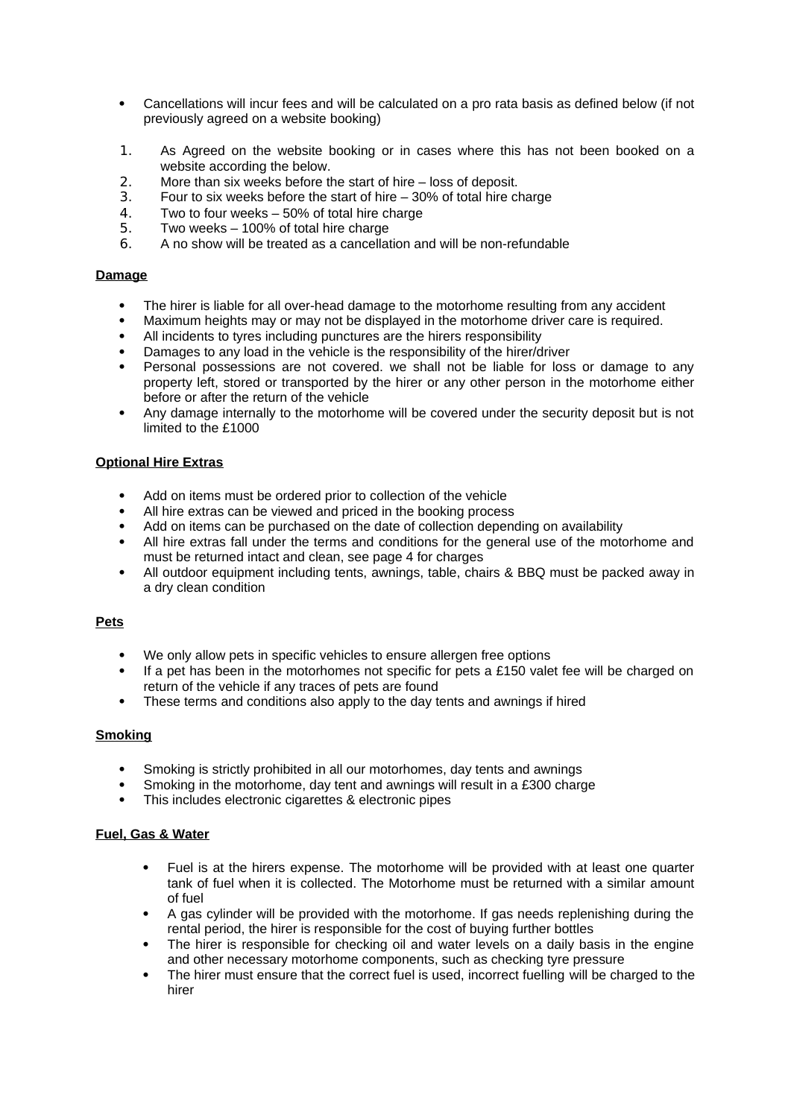- Cancellations will incur fees and will be calculated on a pro rata basis as defined below (if not previously agreed on a website booking)
- 1. As Agreed on the website booking or in cases where this has not been booked on a website according the below.
- 2. More than six weeks before the start of hire loss of deposit.
- 3. Four to six weeks before the start of hire 30% of total hire charge
- 4. Two to four weeks 50% of total hire charge
- 5. Two weeks 100% of total hire charge<br>6. A no show will be treated as a cancellat
- 6. A no show will be treated as a cancellation and will be non-refundable

## **Damage**

- The hirer is liable for all over-head damage to the motorhome resulting from any accident
- Maximum heights may or may not be displayed in the motorhome driver care is required.
- All incidents to tyres including punctures are the hirers responsibility
- Damages to any load in the vehicle is the responsibility of the hirer/driver
- Personal possessions are not covered. we shall not be liable for loss or damage to any property left, stored or transported by the hirer or any other person in the motorhome either before or after the return of the vehicle
- Any damage internally to the motorhome will be covered under the security deposit but is not limited to the £1000

## **Optional Hire Extras**

- Add on items must be ordered prior to collection of the vehicle
- All hire extras can be viewed and priced in the booking process
- Add on items can be purchased on the date of collection depending on availability
- All hire extras fall under the terms and conditions for the general use of the motorhome and must be returned intact and clean, see page 4 for charges
- All outdoor equipment including tents, awnings, table, chairs & BBQ must be packed away in a dry clean condition

#### **Pets**

- We only allow pets in specific vehicles to ensure allergen free options
- $\bullet$  If a pet has been in the motorhomes not specific for pets a £150 valet fee will be charged on return of the vehicle if any traces of pets are found
- These terms and conditions also apply to the day tents and awnings if hired

#### **Smoking**

- Smoking is strictly prohibited in all our motorhomes, day tents and awnings
- Smoking in the motorhome, day tent and awnings will result in a £300 charge
- This includes electronic cigarettes & electronic pipes

## **Fuel, Gas & Water**

- Fuel is at the hirers expense. The motorhome will be provided with at least one quarter tank of fuel when it is collected. The Motorhome must be returned with a similar amount of fuel
- A gas cylinder will be provided with the motorhome. If gas needs replenishing during the rental period, the hirer is responsible for the cost of buying further bottles
- The hirer is responsible for checking oil and water levels on a daily basis in the engine and other necessary motorhome components, such as checking tyre pressure
- The hirer must ensure that the correct fuel is used, incorrect fuelling will be charged to the hirer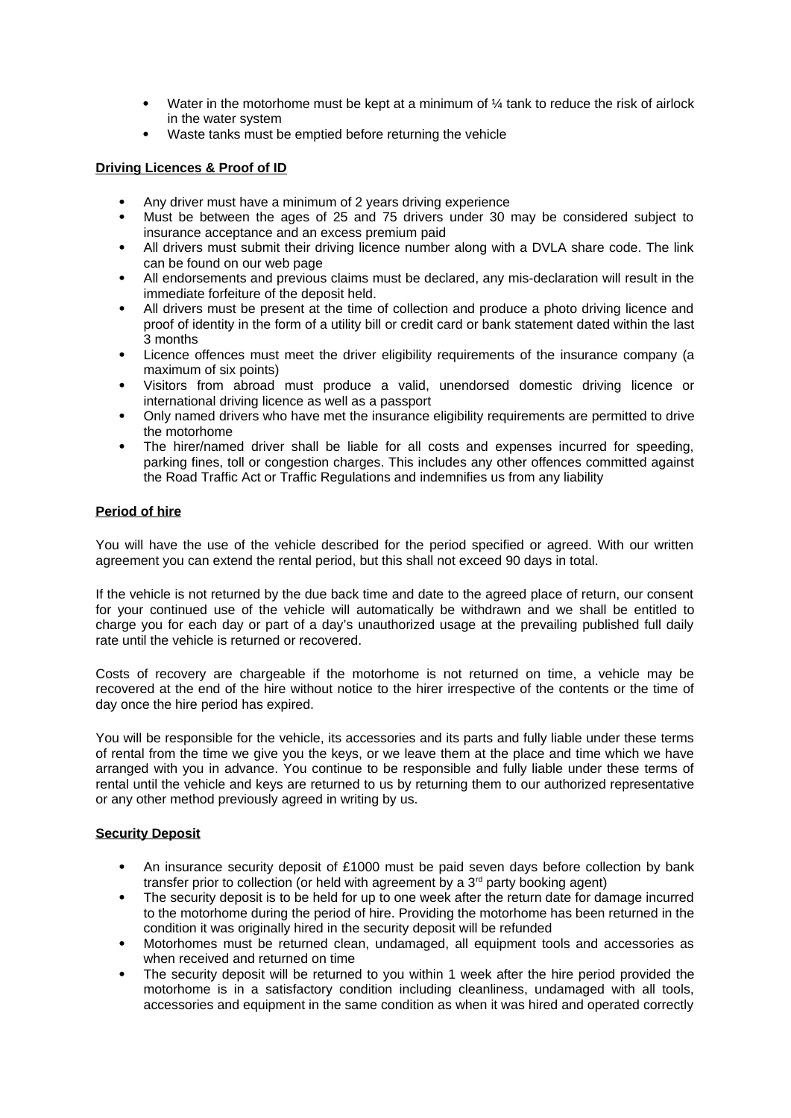- Water in the motorhome must be kept at a minimum of  $\frac{1}{4}$  tank to reduce the risk of airlock in the water system
- Waste tanks must be emptied before returning the vehicle

## **Driving Licences & Proof of ID**

- Any driver must have a minimum of 2 years driving experience
- Must be between the ages of 25 and 75 drivers under 30 may be considered subject to insurance acceptance and an excess premium paid
- All drivers must submit their driving licence number along with a DVLA share code. The link can be found on our web page
- All endorsements and previous claims must be declared, any mis-declaration will result in the immediate forfeiture of the deposit held.
- All drivers must be present at the time of collection and produce a photo driving licence and proof of identity in the form of a utility bill or credit card or bank statement dated within the last 3 months
- Licence offences must meet the driver eligibility requirements of the insurance company (a maximum of six points)
- Visitors from abroad must produce a valid, unendorsed domestic driving licence or international driving licence as well as a passport
- Only named drivers who have met the insurance eligibility requirements are permitted to drive the motorhome
- The hirer/named driver shall be liable for all costs and expenses incurred for speeding, parking fines, toll or congestion charges. This includes any other offences committed against the Road Traffic Act or Traffic Regulations and indemnifies us from any liability

# **Period of hire**

You will have the use of the vehicle described for the period specified or agreed. With our written agreement you can extend the rental period, but this shall not exceed 90 days in total.

If the vehicle is not returned by the due back time and date to the agreed place of return, our consent for your continued use of the vehicle will automatically be withdrawn and we shall be entitled to charge you for each day or part of a day's unauthorized usage at the prevailing published full daily rate until the vehicle is returned or recovered.

Costs of recovery are chargeable if the motorhome is not returned on time, a vehicle may be recovered at the end of the hire without notice to the hirer irrespective of the contents or the time of day once the hire period has expired.

You will be responsible for the vehicle, its accessories and its parts and fully liable under these terms of rental from the time we give you the keys, or we leave them at the place and time which we have arranged with you in advance. You continue to be responsible and fully liable under these terms of rental until the vehicle and keys are returned to us by returning them to our authorized representative or any other method previously agreed in writing by us.

#### **Security Deposit**

- An insurance security deposit of £1000 must be paid seven days before collection by bank transfer prior to collection (or held with agreement by a  $3<sup>rd</sup>$  party booking agent)
- The security deposit is to be held for up to one week after the return date for damage incurred to the motorhome during the period of hire. Providing the motorhome has been returned in the condition it was originally hired in the security deposit will be refunded
- Motorhomes must be returned clean, undamaged, all equipment tools and accessories as when received and returned on time
- The security deposit will be returned to you within 1 week after the hire period provided the motorhome is in a satisfactory condition including cleanliness, undamaged with all tools, accessories and equipment in the same condition as when it was hired and operated correctly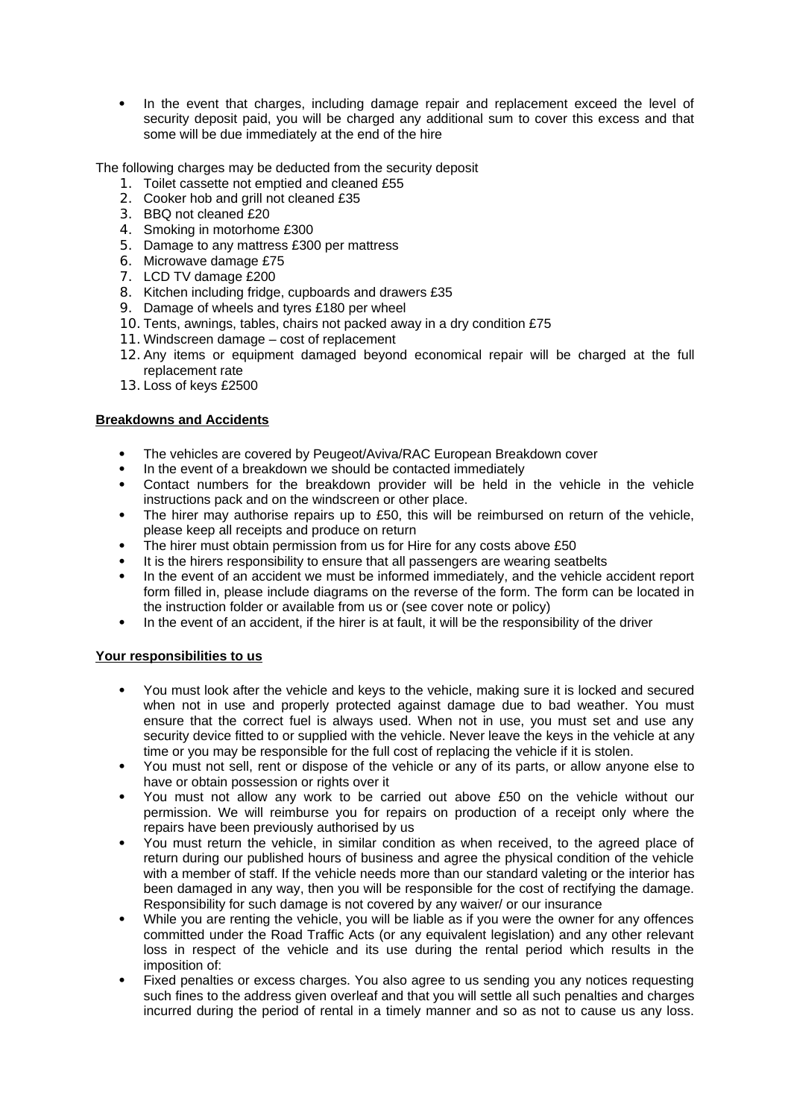• In the event that charges, including damage repair and replacement exceed the level of security deposit paid, you will be charged any additional sum to cover this excess and that some will be due immediately at the end of the hire

The following charges may be deducted from the security deposit

- 1. Toilet cassette not emptied and cleaned £55
- 2. Cooker hob and grill not cleaned £35
- 3. BBQ not cleaned £20
- 4. Smoking in motorhome £300
- 5. Damage to any mattress £300 per mattress
- 6. Microwave damage £75
- 7. LCD TV damage £200
- 8. Kitchen including fridge, cupboards and drawers £35
- 9. Damage of wheels and tyres £180 per wheel
- 10. Tents, awnings, tables, chairs not packed away in a dry condition £75
- 11. Windscreen damage cost of replacement
- 12. Any items or equipment damaged beyond economical repair will be charged at the full replacement rate
- 13. Loss of keys £2500

## **Breakdowns and Accidents**

- The vehicles are covered by Peugeot/Aviva/RAC European Breakdown cover
- In the event of a breakdown we should be contacted immediately
- Contact numbers for the breakdown provider will be held in the vehicle in the vehicle instructions pack and on the windscreen or other place.
- The hirer may authorise repairs up to £50, this will be reimbursed on return of the vehicle, please keep all receipts and produce on return
- The hirer must obtain permission from us for Hire for any costs above £50
- It is the hirers responsibility to ensure that all passengers are wearing seatbelts
- In the event of an accident we must be informed immediately, and the vehicle accident report form filled in, please include diagrams on the reverse of the form. The form can be located in the instruction folder or available from us or (see cover note or policy)
- In the event of an accident, if the hirer is at fault, it will be the responsibility of the driver

# **Your responsibilities to us**

- You must look after the vehicle and keys to the vehicle, making sure it is locked and secured when not in use and properly protected against damage due to bad weather. You must ensure that the correct fuel is always used. When not in use, you must set and use any security device fitted to or supplied with the vehicle. Never leave the keys in the vehicle at any time or you may be responsible for the full cost of replacing the vehicle if it is stolen.
- You must not sell, rent or dispose of the vehicle or any of its parts, or allow anyone else to have or obtain possession or rights over it
- You must not allow any work to be carried out above £50 on the vehicle without our permission. We will reimburse you for repairs on production of a receipt only where the repairs have been previously authorised by us
- You must return the vehicle, in similar condition as when received, to the agreed place of return during our published hours of business and agree the physical condition of the vehicle with a member of staff. If the vehicle needs more than our standard valeting or the interior has been damaged in any way, then you will be responsible for the cost of rectifying the damage. Responsibility for such damage is not covered by any waiver/ or our insurance
- While you are renting the vehicle, you will be liable as if you were the owner for any offences committed under the Road Traffic Acts (or any equivalent legislation) and any other relevant loss in respect of the vehicle and its use during the rental period which results in the imposition of:
- Fixed penalties or excess charges. You also agree to us sending you any notices requesting such fines to the address given overleaf and that you will settle all such penalties and charges incurred during the period of rental in a timely manner and so as not to cause us any loss.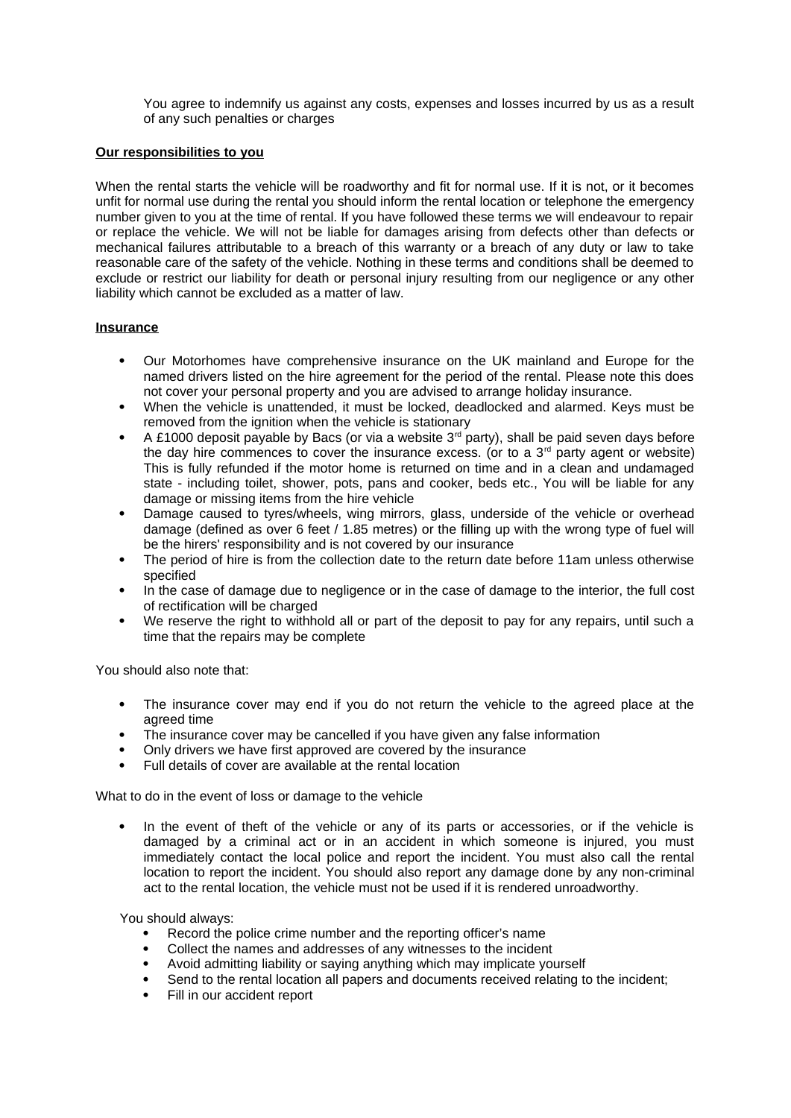You agree to indemnify us against any costs, expenses and losses incurred by us as a result of any such penalties or charges

## **Our responsibilities to you**

When the rental starts the vehicle will be roadworthy and fit for normal use. If it is not, or it becomes unfit for normal use during the rental you should inform the rental location or telephone the emergency number given to you at the time of rental. If you have followed these terms we will endeavour to repair or replace the vehicle. We will not be liable for damages arising from defects other than defects or mechanical failures attributable to a breach of this warranty or a breach of any duty or law to take reasonable care of the safety of the vehicle. Nothing in these terms and conditions shall be deemed to exclude or restrict our liability for death or personal injury resulting from our negligence or any other liability which cannot be excluded as a matter of law.

#### **Insurance**

- Our Motorhomes have comprehensive insurance on the UK mainland and Europe for the named drivers listed on the hire agreement for the period of the rental. Please note this does not cover your personal property and you are advised to arrange holiday insurance.
- When the vehicle is unattended, it must be locked, deadlocked and alarmed. Keys must be removed from the ignition when the vehicle is stationary
- A £1000 deposit payable by Bacs (or via a website  $3<sup>rd</sup>$  party), shall be paid seven days before the day hire commences to cover the insurance excess. (or to a  $3<sup>rd</sup>$  party agent or website) This is fully refunded if the motor home is returned on time and in a clean and undamaged state - including toilet, shower, pots, pans and cooker, beds etc., You will be liable for any damage or missing items from the hire vehicle
- Damage caused to tyres/wheels, wing mirrors, glass, underside of the vehicle or overhead damage (defined as over 6 feet / 1.85 metres) or the filling up with the wrong type of fuel will be the hirers' responsibility and is not covered by our insurance
- The period of hire is from the collection date to the return date before 11am unless otherwise specified
- In the case of damage due to negligence or in the case of damage to the interior, the full cost of rectification will be charged
- We reserve the right to withhold all or part of the deposit to pay for any repairs, until such a time that the repairs may be complete

You should also note that:

- The insurance cover may end if you do not return the vehicle to the agreed place at the agreed time
- The insurance cover may be cancelled if you have given any false information
- Only drivers we have first approved are covered by the insurance
- Full details of cover are available at the rental location

What to do in the event of loss or damage to the vehicle

• In the event of theft of the vehicle or any of its parts or accessories, or if the vehicle is damaged by a criminal act or in an accident in which someone is injured, you must immediately contact the local police and report the incident. You must also call the rental location to report the incident. You should also report any damage done by any non-criminal act to the rental location, the vehicle must not be used if it is rendered unroadworthy.

You should always:

- Record the police crime number and the reporting officer's name
- Collect the names and addresses of any witnesses to the incident
- Avoid admitting liability or saying anything which may implicate yourself
- Send to the rental location all papers and documents received relating to the incident;
- Fill in our accident report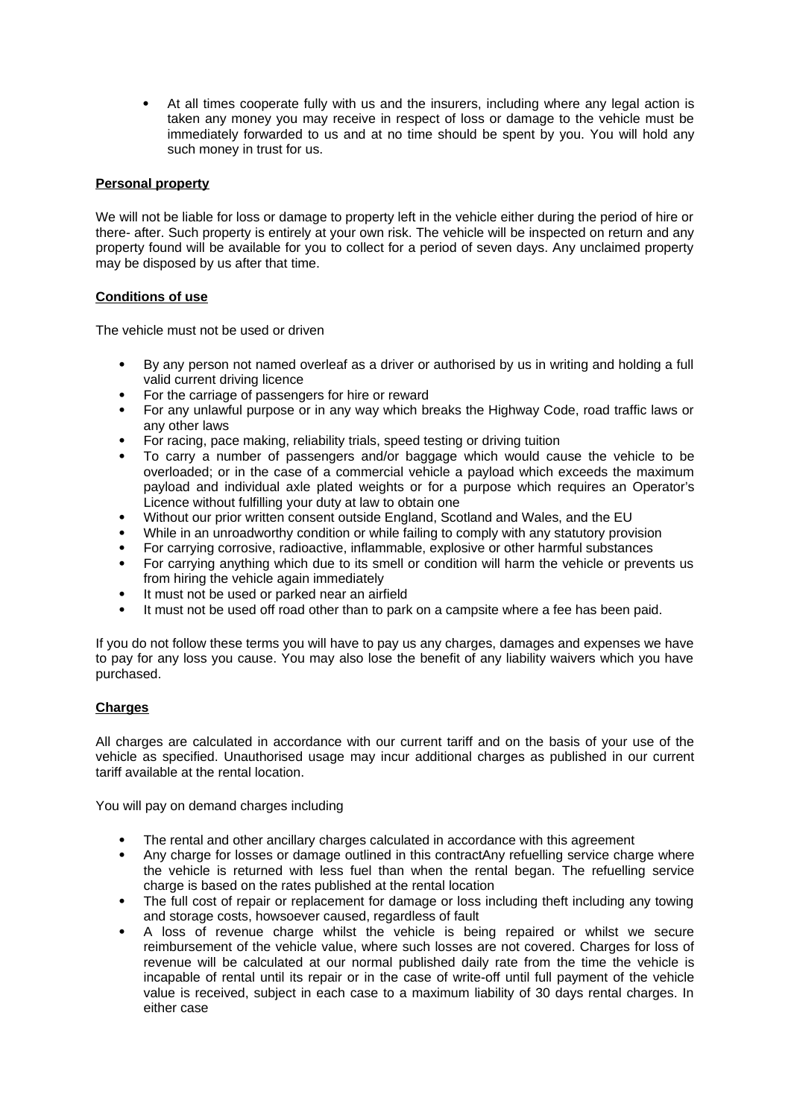At all times cooperate fully with us and the insurers, including where any legal action is taken any money you may receive in respect of loss or damage to the vehicle must be immediately forwarded to us and at no time should be spent by you. You will hold any such money in trust for us.

# **Personal property**

We will not be liable for loss or damage to property left in the vehicle either during the period of hire or there- after. Such property is entirely at your own risk. The vehicle will be inspected on return and any property found will be available for you to collect for a period of seven days. Any unclaimed property may be disposed by us after that time.

# **Conditions of use**

The vehicle must not be used or driven

- By any person not named overleaf as a driver or authorised by us in writing and holding a full valid current driving licence
- For the carriage of passengers for hire or reward
- For any unlawful purpose or in any way which breaks the Highway Code, road traffic laws or any other laws
- For racing, pace making, reliability trials, speed testing or driving tuition
- To carry a number of passengers and/or baggage which would cause the vehicle to be overloaded; or in the case of a commercial vehicle a payload which exceeds the maximum payload and individual axle plated weights or for a purpose which requires an Operator's Licence without fulfilling your duty at law to obtain one
- Without our prior written consent outside England, Scotland and Wales, and the EU
- While in an unroadworthy condition or while failing to comply with any statutory provision
- For carrying corrosive, radioactive, inflammable, explosive or other harmful substances
- For carrying anything which due to its smell or condition will harm the vehicle or prevents us from hiring the vehicle again immediately
- It must not be used or parked near an airfield
- It must not be used off road other than to park on a campsite where a fee has been paid.

If you do not follow these terms you will have to pay us any charges, damages and expenses we have to pay for any loss you cause. You may also lose the benefit of any liability waivers which you have purchased.

# **Charges**

All charges are calculated in accordance with our current tariff and on the basis of your use of the vehicle as specified. Unauthorised usage may incur additional charges as published in our current tariff available at the rental location.

You will pay on demand charges including

- The rental and other ancillary charges calculated in accordance with this agreement
- Any charge for losses or damage outlined in this contractAny refuelling service charge where the vehicle is returned with less fuel than when the rental began. The refuelling service charge is based on the rates published at the rental location
- The full cost of repair or replacement for damage or loss including theft including any towing and storage costs, howsoever caused, regardless of fault
- A loss of revenue charge whilst the vehicle is being repaired or whilst we secure reimbursement of the vehicle value, where such losses are not covered. Charges for loss of revenue will be calculated at our normal published daily rate from the time the vehicle is incapable of rental until its repair or in the case of write-off until full payment of the vehicle value is received, subject in each case to a maximum liability of 30 days rental charges. In either case